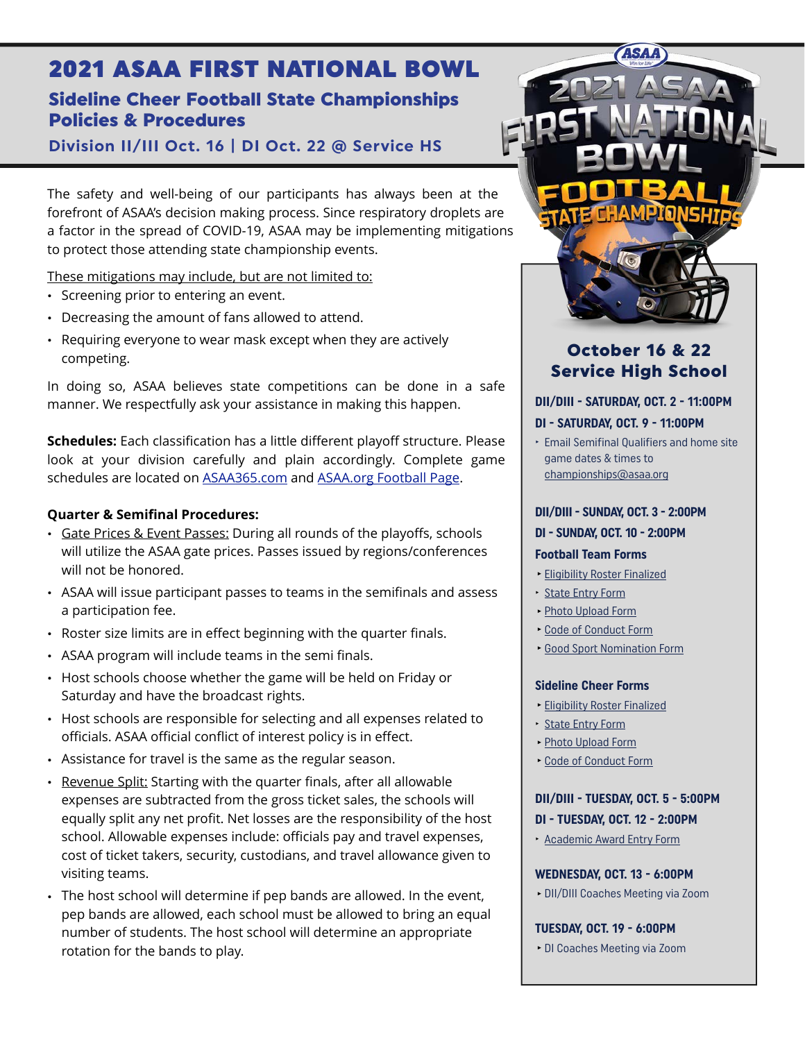# 2021 ASAA FIRST NATIONAL BOWL

# Sideline Cheer Football State Championships Policies & Procedures

**Division II/III Oct. 16 | DI Oct. 22 @ Service HS** 

The safety and well-being of our participants has always been at the forefront of ASAA's decision making process. Since respiratory droplets are a factor in the spread of COVID-19, ASAA may be implementing mitigations to protect those attending state championship events.

These mitigations may include, but are not limited to:

- Screening prior to entering an event.
- Decreasing the amount of fans allowed to attend.
- Requiring everyone to wear mask except when they are actively competing.

In doing so, ASAA believes state competitions can be done in a safe manner. We respectfully ask your assistance in making this happen.

**Schedules:** Each classification has a little different playoff structure. Please look at your division carefully and plain accordingly. Complete game schedules are located on [ASAA365.com](http://asaa365.com) and [ASAA.org Football Page.](https://asaa.org/activities/football/)

## **Quarter & Semifinal Procedures:**

- Gate Prices & Event Passes: During all rounds of the playoffs, schools will utilize the ASAA gate prices. Passes issued by regions/conferences will not be honored.
- ASAA will issue participant passes to teams in the semifinals and assess a participation fee.
- Roster size limits are in effect beginning with the quarter finals.
- ASAA program will include teams in the semi finals.
- Host schools choose whether the game will be held on Friday or Saturday and have the broadcast rights.
- Host schools are responsible for selecting and all expenses related to officials. ASAA official conflict of interest policy is in effect.
- Assistance for travel is the same as the regular season.
- Revenue Split: Starting with the quarter finals, after all allowable expenses are subtracted from the gross ticket sales, the schools will equally split any net profit. Net losses are the responsibility of the host school. Allowable expenses include: officials pay and travel expenses, cost of ticket takers, security, custodians, and travel allowance given to visiting teams.
- The host school will determine if pep bands are allowed. In the event, pep bands are allowed, each school must be allowed to bring an equal number of students. The host school will determine an appropriate rotation for the bands to play.



## October 16 & 22 Service High School

#### **DII/DIII - SATURDAY, OCT. 2 - 11:00PM**

#### **DI - SATURDAY, OCT. 9 - 11:00PM**

‣ Email Semifinal Qualifiers and home site game dates & times to [championships@asaa.org](mailto:championships@asaa.org)

#### **DII/DIII - SUNDAY, OCT. 3 - 2:00PM**

#### **DI - SUNDAY, OCT. 10 - 2:00PM**

#### **Football Team Forms**

- **‣**[Eligibility Roster Finalized](http://asaa.org/activities/football/football-coaches/football-forms/)
- ‣ [State Entry Form](http://asaa.org/activities/football/football-coaches/football-forms/)
- **‣**[Photo Upload Form](http://asaa.org/activities/football/football-coaches/football-forms/)
- **‣**[Code of Conduct Form](http://asaa.org/activities/football/football-coaches/football-forms/)
- **Good Sport [Nomination Form](http://asaa.org/activities/football/football-coaches/football-forms/)**

#### **Sideline Cheer Forms**

- **‣**[Eligibility Roster Finalized](http://asaa.org/activities/cheer/cheer-coaches/cheer-forms/)
- ‣ [State Entry Form](http://asaa.org/activities/cheer/cheer-coaches/cheer-forms/)
- **‣**[Photo Upload Form](http://asaa.org/activities/cheer/cheer-coaches/cheer-forms/)
- **‣**[Code of Conduct Form](http://asaa.org/activities/cheer/cheer-coaches/cheer-forms/)

## **DII/DIII - TUESDAY, OCT. 5 - 5:00PM DI - TUESDAY, OCT. 12 - 2:00PM**

‣ [Academic Award Entry Form](http://asaa.org/sports/football/football-forms/)

#### **WEDNESDAY, OCT. 13 - 6:00PM**

**‣**DII/DIII Coaches Meeting via Zoom

**TUESDAY, OCT. 19 - 6:00PM**

**‣**DI Coaches Meeting via Zoom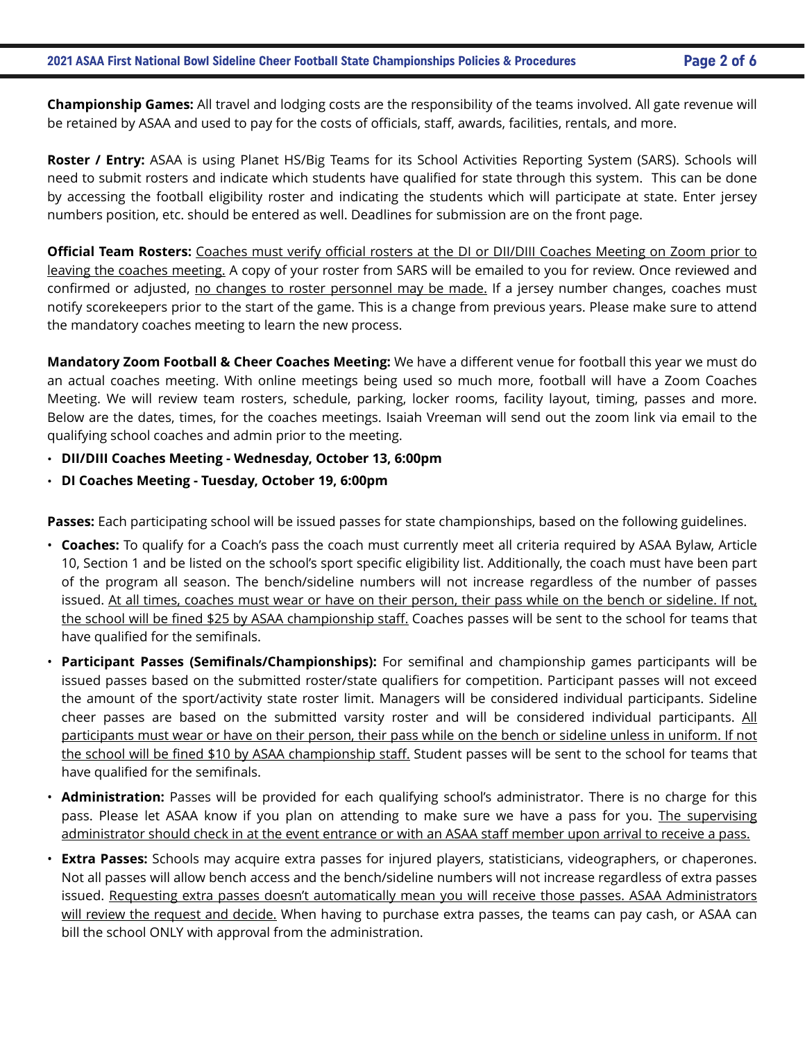**Championship Games:** All travel and lodging costs are the responsibility of the teams involved. All gate revenue will be retained by ASAA and used to pay for the costs of officials, staff, awards, facilities, rentals, and more.

**Roster / Entry:** ASAA is using Planet HS/Big Teams for its School Activities Reporting System (SARS). Schools will need to submit rosters and indicate which students have qualified for state through this system. This can be done by accessing the football eligibility roster and indicating the students which will participate at state. Enter jersey numbers position, etc. should be entered as well. Deadlines for submission are on the front page.

**Official Team Rosters:** Coaches must verify official rosters at the DI or DII/DIII Coaches Meeting on Zoom prior to leaving the coaches meeting. A copy of your roster from SARS will be emailed to you for review. Once reviewed and confirmed or adjusted, no changes to roster personnel may be made. If a jersey number changes, coaches must notify scorekeepers prior to the start of the game. This is a change from previous years. Please make sure to attend the mandatory coaches meeting to learn the new process.

**Mandatory Zoom Football & Cheer Coaches Meeting:** We have a different venue for football this year we must do an actual coaches meeting. With online meetings being used so much more, football will have a Zoom Coaches Meeting. We will review team rosters, schedule, parking, locker rooms, facility layout, timing, passes and more. Below are the dates, times, for the coaches meetings. Isaiah Vreeman will send out the zoom link via email to the qualifying school coaches and admin prior to the meeting.

- **DII/DIII Coaches Meeting Wednesday, October 13, 6:00pm**
- **DI Coaches Meeting Tuesday, October 19, 6:00pm**

**Passes:** Each participating school will be issued passes for state championships, based on the following guidelines.

- **Coaches:** To qualify for a Coach's pass the coach must currently meet all criteria required by ASAA Bylaw, Article 10, Section 1 and be listed on the school's sport specific eligibility list. Additionally, the coach must have been part of the program all season. The bench/sideline numbers will not increase regardless of the number of passes issued. At all times, coaches must wear or have on their person, their pass while on the bench or sideline. If not, the school will be fined \$25 by ASAA championship staff. Coaches passes will be sent to the school for teams that have qualified for the semifinals.
- **Participant Passes (Semifinals/Championships):** For semifinal and championship games participants will be issued passes based on the submitted roster/state qualifiers for competition. Participant passes will not exceed the amount of the sport/activity state roster limit. Managers will be considered individual participants. Sideline cheer passes are based on the submitted varsity roster and will be considered individual participants. All participants must wear or have on their person, their pass while on the bench or sideline unless in uniform. If not the school will be fined \$10 by ASAA championship staff. Student passes will be sent to the school for teams that have qualified for the semifinals.
- **Administration:** Passes will be provided for each qualifying school's administrator. There is no charge for this pass. Please let ASAA know if you plan on attending to make sure we have a pass for you. The supervising administrator should check in at the event entrance or with an ASAA staff member upon arrival to receive a pass.
- **Extra Passes:** Schools may acquire extra passes for injured players, statisticians, videographers, or chaperones. Not all passes will allow bench access and the bench/sideline numbers will not increase regardless of extra passes issued. Requesting extra passes doesn't automatically mean you will receive those passes. ASAA Administrators will review the request and decide. When having to purchase extra passes, the teams can pay cash, or ASAA can bill the school ONLY with approval from the administration.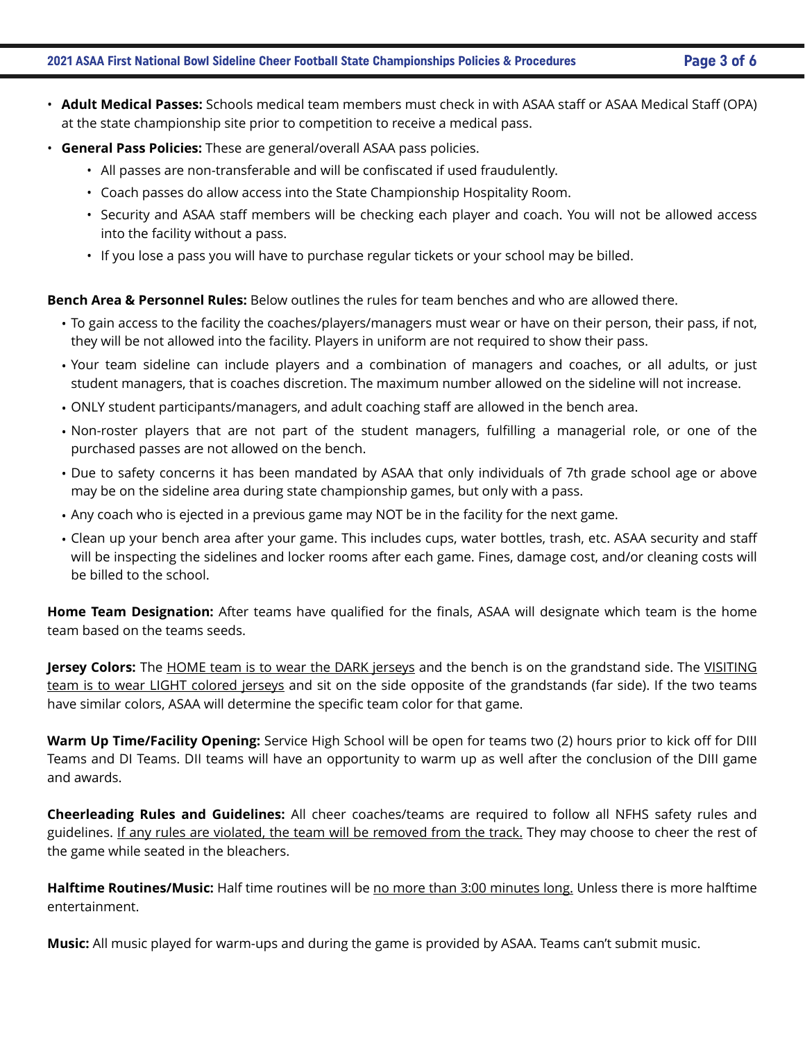- 
- **Adult Medical Passes:** Schools medical team members must check in with ASAA staff or ASAA Medical Staff (OPA) at the state championship site prior to competition to receive a medical pass.
- **General Pass Policies:** These are general/overall ASAA pass policies.
	- All passes are non-transferable and will be confiscated if used fraudulently.
	- Coach passes do allow access into the State Championship Hospitality Room.
	- Security and ASAA staff members will be checking each player and coach. You will not be allowed access into the facility without a pass.
	- If you lose a pass you will have to purchase regular tickets or your school may be billed.

#### **Bench Area & Personnel Rules:** Below outlines the rules for team benches and who are allowed there.

- To gain access to the facility the coaches/players/managers must wear or have on their person, their pass, if not, they will be not allowed into the facility. Players in uniform are not required to show their pass.
- Your team sideline can include players and a combination of managers and coaches, or all adults, or just student managers, that is coaches discretion. The maximum number allowed on the sideline will not increase.
- ONLY student participants/managers, and adult coaching staff are allowed in the bench area.
- Non-roster players that are not part of the student managers, fulfilling a managerial role, or one of the purchased passes are not allowed on the bench.
- Due to safety concerns it has been mandated by ASAA that only individuals of 7th grade school age or above may be on the sideline area during state championship games, but only with a pass.
- Any coach who is ejected in a previous game may NOT be in the facility for the next game.
- Clean up your bench area after your game. This includes cups, water bottles, trash, etc. ASAA security and staff will be inspecting the sidelines and locker rooms after each game. Fines, damage cost, and/or cleaning costs will be billed to the school.

**Home Team Designation:** After teams have qualified for the finals, ASAA will designate which team is the home team based on the teams seeds.

**Jersey Colors:** The HOME team is to wear the DARK jerseys and the bench is on the grandstand side. The VISITING team is to wear LIGHT colored jerseys and sit on the side opposite of the grandstands (far side). If the two teams have similar colors, ASAA will determine the specific team color for that game.

**Warm Up Time/Facility Opening:** Service High School will be open for teams two (2) hours prior to kick off for DIII Teams and DI Teams. DII teams will have an opportunity to warm up as well after the conclusion of the DIII game and awards.

**Cheerleading Rules and Guidelines:** All cheer coaches/teams are required to follow all NFHS safety rules and guidelines. If any rules are violated, the team will be removed from the track. They may choose to cheer the rest of the game while seated in the bleachers.

**Halftime Routines/Music:** Half time routines will be no more than 3:00 minutes long. Unless there is more halftime entertainment.

**Music:** All music played for warm-ups and during the game is provided by ASAA. Teams can't submit music.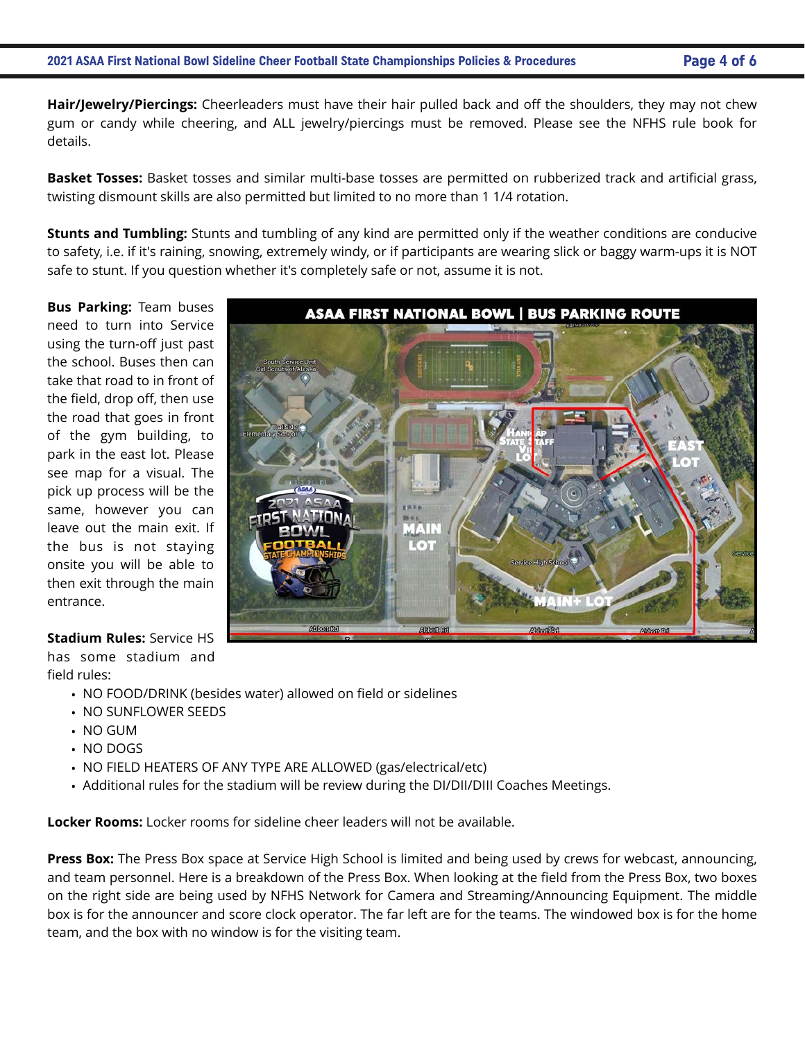**Hair/Jewelry/Piercings:** Cheerleaders must have their hair pulled back and off the shoulders, they may not chew gum or candy while cheering, and ALL jewelry/piercings must be removed. Please see the NFHS rule book for details.

**Basket Tosses:** Basket tosses and similar multi-base tosses are permitted on rubberized track and artificial grass, twisting dismount skills are also permitted but limited to no more than 1 1/4 rotation.

**Stunts and Tumbling:** Stunts and tumbling of any kind are permitted only if the weather conditions are conducive to safety, i.e. if it's raining, snowing, extremely windy, or if participants are wearing slick or baggy warm-ups it is NOT safe to stunt. If you question whether it's completely safe or not, assume it is not.

**Bus Parking:** Team buses need to turn into Service using the turn-off just past the school. Buses then can take that road to in front of the field, drop off, then use the road that goes in front of the gym building, to park in the east lot. Please see map for a visual. The pick up process will be the same, however you can leave out the main exit. If the bus is not staying onsite you will be able to then exit through the main entrance.

#### **Stadium Rules:** Service HS

has some stadium and field rules:

- NO FOOD/DRINK (besides water) allowed on field or sidelines
- NO SUNFLOWER SEEDS
- NO GUM
- NO DOGS
- NO FIELD HEATERS OF ANY TYPE ARE ALLOWED (gas/electrical/etc)
- Additional rules for the stadium will be review during the DI/DII/DIII Coaches Meetings.

**Locker Rooms:** Locker rooms for sideline cheer leaders will not be available.

**Press Box:** The Press Box space at Service High School is limited and being used by crews for webcast, announcing, and team personnel. Here is a breakdown of the Press Box. When looking at the field from the Press Box, two boxes on the right side are being used by NFHS Network for Camera and Streaming/Announcing Equipment. The middle box is for the announcer and score clock operator. The far left are for the teams. The windowed box is for the home team, and the box with no window is for the visiting team.

**ASAA FIRST NATIONAL BOWL | BUS PARKING ROUTE**  $A$ Neam  $\Omega$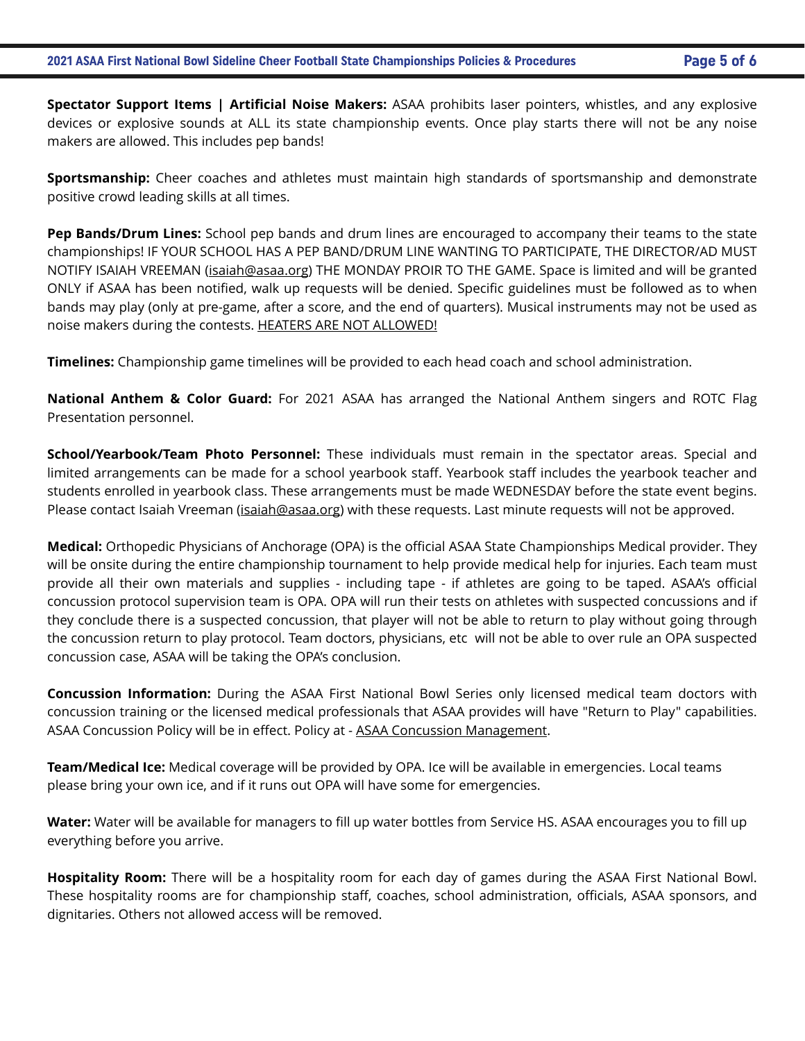**Spectator Support Items | Artificial Noise Makers:** ASAA prohibits laser pointers, whistles, and any explosive devices or explosive sounds at ALL its state championship events. Once play starts there will not be any noise makers are allowed. This includes pep bands!

**Sportsmanship:** Cheer coaches and athletes must maintain high standards of sportsmanship and demonstrate positive crowd leading skills at all times.

**Pep Bands/Drum Lines:** School pep bands and drum lines are encouraged to accompany their teams to the state championships! IF YOUR SCHOOL HAS A PEP BAND/DRUM LINE WANTING TO PARTICIPATE, THE DIRECTOR/AD MUST NOTIFY ISAIAH VREEMAN ([isaiah@asaa.org\)](mailto:isaiah@asaa.org) THE MONDAY PROIR TO THE GAME. Space is limited and will be granted ONLY if ASAA has been notified, walk up requests will be denied. Specific guidelines must be followed as to when bands may play (only at pre-game, after a score, and the end of quarters). Musical instruments may not be used as noise makers during the contests. HEATERS ARE NOT ALLOWED!

**Timelines:** Championship game timelines will be provided to each head coach and school administration.

**National Anthem & Color Guard:** For 2021 ASAA has arranged the National Anthem singers and ROTC Flag Presentation personnel.

**School/Yearbook/Team Photo Personnel:** These individuals must remain in the spectator areas. Special and limited arrangements can be made for a school yearbook staff. Yearbook staff includes the yearbook teacher and students enrolled in yearbook class. These arrangements must be made WEDNESDAY before the state event begins. Please contact Isaiah Vreeman [\(isaiah@asaa.org\)](mailto:isaiah@asaa.org) with these requests. Last minute requests will not be approved.

**Medical:** Orthopedic Physicians of Anchorage (OPA) is the official ASAA State Championships Medical provider. They will be onsite during the entire championship tournament to help provide medical help for injuries. Each team must provide all their own materials and supplies - including tape - if athletes are going to be taped. ASAA's official concussion protocol supervision team is OPA. OPA will run their tests on athletes with suspected concussions and if they conclude there is a suspected concussion, that player will not be able to return to play without going through the concussion return to play protocol. Team doctors, physicians, etc will not be able to over rule an OPA suspected concussion case, ASAA will be taking the OPA's conclusion.

**Concussion Information:** During the ASAA First National Bowl Series only licensed medical team doctors with concussion training or the licensed medical professionals that ASAA provides will have "Return to Play" capabilities. ASAA Concussion Policy will be in effect. Policy at - [ASAA Concussion Management](http://asaa.org/resources/sports-medicine/concussion-management/).

**Team/Medical Ice:** Medical coverage will be provided by OPA. Ice will be available in emergencies. Local teams please bring your own ice, and if it runs out OPA will have some for emergencies.

**Water:** Water will be available for managers to fill up water bottles from Service HS. ASAA encourages you to fill up everything before you arrive.

**Hospitality Room:** There will be a hospitality room for each day of games during the ASAA First National Bowl. These hospitality rooms are for championship staff, coaches, school administration, officials, ASAA sponsors, and dignitaries. Others not allowed access will be removed.